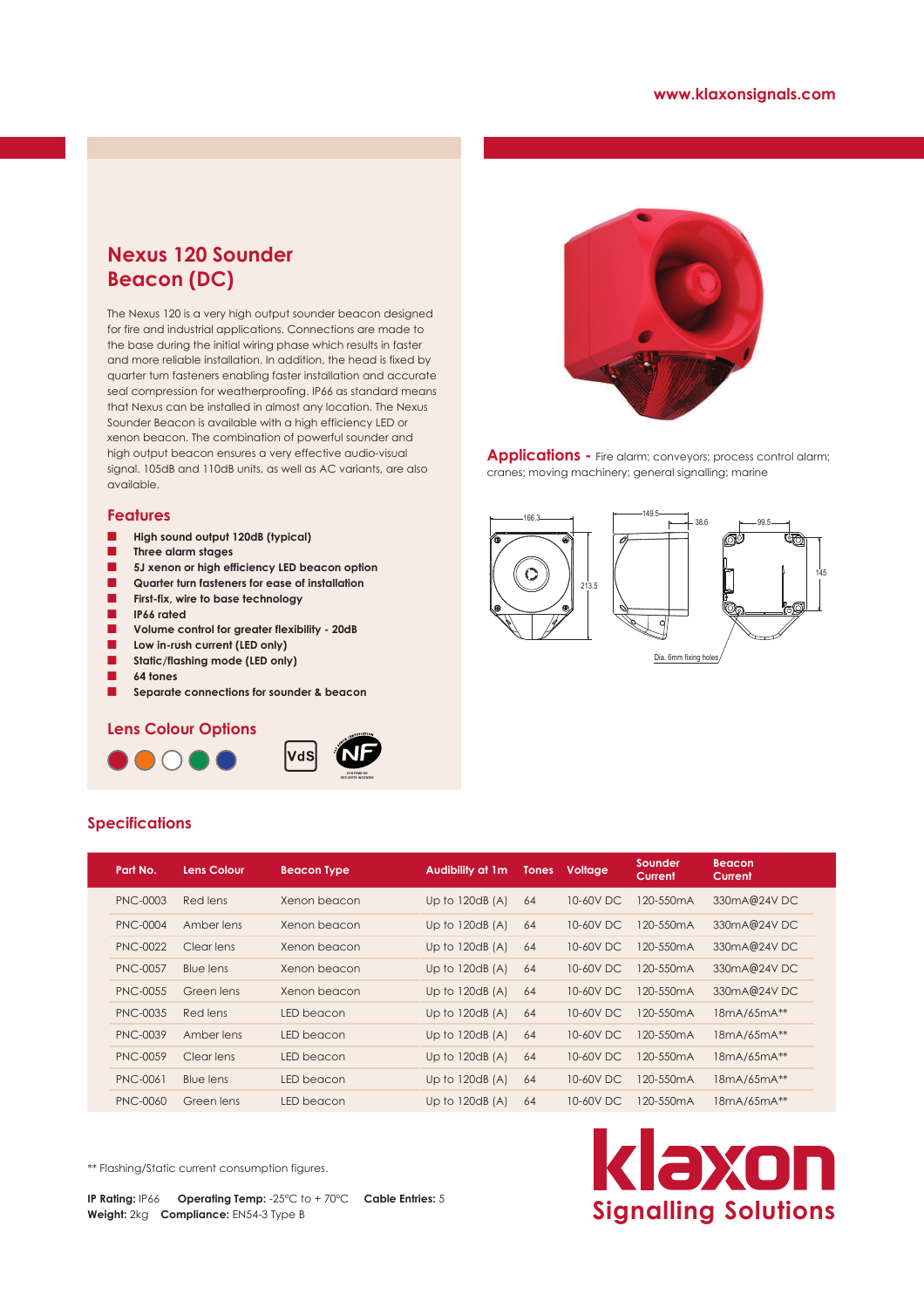## **Nexus 120 Sounder Beacon (DC)**

The Nexus 120 is a very high output sounder beacon designed for fire and industrial applications. Connections are made to the base during the initial wiring phase which results in faster and more reliable installation. In addition, the head is fixed by quarter turn fasteners enabling faster installation and accurate seal compression for weatherproofing. IP66 as standard means that Nexus can be installed in almost any location. The Nexus Sounder Beacon is available with a high efficiency LED or xenon beacon. The combination of powerful sounder and high output beacon ensures a very effective audio-visual signal. 105dB and 110dB units, as well as AC variants, are also available.

#### **Features**

- **High sound output 120dB (typical)**
- Q **Three alarm stages**
- Q **5J xenon or high efficiency LED beacon option**
- Q **Quarter turn fasteners for ease of installation**
- Q **First-fix, wire to base technology**
- Q **IP66 rated**
- Volume control for greater flexibility 20dB
- Low in-rush current (LED only)
- **B** Static/flashing mode (LED only)
- Q **64 tones**

**Specifications**

 $\blacksquare$  Separate connections for sounder & beacon

### **Lens Colour Options**







Applications - Fire alarm; conveyors; process control alarm; cranes; moving machinery; general signalling; marine



|  | Part No.        | <b>Lens Colour</b> | <b>Beacon Type</b> | <b>Audibility at 1m</b> | <b>Tones</b> | Voltage   | Sounder<br>Current | <b>Beacon</b><br>Current |
|--|-----------------|--------------------|--------------------|-------------------------|--------------|-----------|--------------------|--------------------------|
|  | PNC-0003        | Red lens           | Xenon beacon       | Up to $120dB(A)$        | 64           | 10-60V DC | 120-550mA          | 330mA@24VDC              |
|  | PNC-0004        | Amber lens         | Xenon beacon       | Up to $120dB(A)$        | 64           | 10-60V DC | 120-550mA          | 330mA@24VDC              |
|  | <b>PNC-0022</b> | Clear lens         | Xenon beacon       | Up to $120dB(A)$        | 64           | 10-60V DC | 120-550mA          | 330mA@24VDC              |
|  | <b>PNC-0057</b> | Blue lens          | Xenon beacon       | Up to $120dB(A)$        | 64           | 10-60V DC | 120-550mA          | 330mA@24VDC              |
|  | <b>PNC-0055</b> | Green lens         | Xenon beacon       | Up to $120dB(A)$        | 64           | 10-60V DC | 120-550mA          | 330mA@24VDC              |
|  | PNC-0035        | Red lens           | LED beacon         | Up to $120dB(A)$        | 64           | 10-60V DC | 120-550mA          | 18mA/65mA**              |
|  | <b>PNC-0039</b> | Amber lens         | LED beacon         | Up to $120dB(A)$        | 64           | 10-60V DC | 120-550mA          | 18mA/65mA**              |
|  | <b>PNC-0059</b> | Clear lens         | LED beacon         | Up to $120dB(A)$        | 64           | 10-60V DC | 120-550mA          | 18mA/65mA**              |
|  | <b>PNC-0061</b> | <b>Blue lens</b>   | LED beacon         | Up to $120dB(A)$        | 64           | 10-60V DC | 120-550mA          | 18mA/65mA**              |
|  | <b>PNC-0060</b> | Green lens         | LED beacon         | Up to $120dB(A)$        | 64           | 10-60V DC | 120-550mA          | 18mA/65mA**              |

\*\* Flashing/Static current consumption figures.

**IP Rating:** IP66 **Operating Temp:** -25ºC to + 70ºC **Cable Entries:** 5 **Weight:** 2kg **Compliance:** EN54-3 Type B

# klaxon **Signalling Solutions**